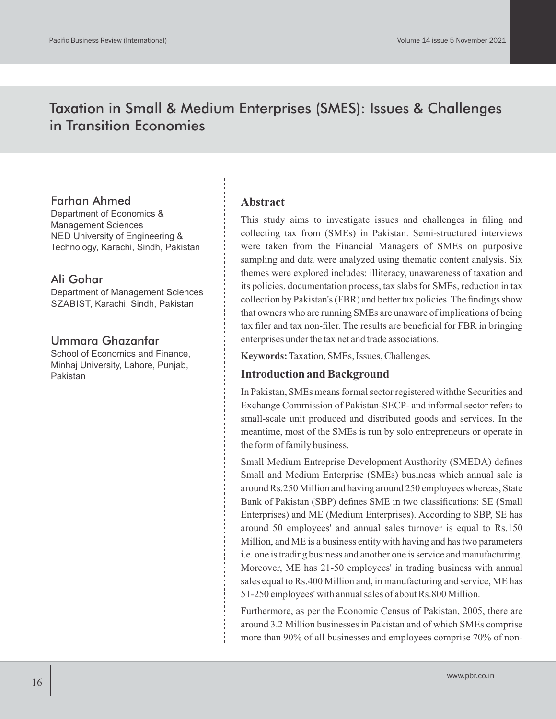# Taxation in Small & Medium Enterprises (SMES): Issues & Challenges in Transition Economies

## Farhan Ahmed

Department of Economics & Management Sciences NED University of Engineering & Technology, Karachi, Sindh, Pakistan

## Ali Gohar

Department of Management Sciences SZABIST, Karachi, Sindh, Pakistan

# Ummara Ghazanfar

School of Economics and Finance, Minhaj University, Lahore, Punjab, Pakistan

#### **Abstract**

This study aims to investigate issues and challenges in filing and collecting tax from (SMEs) in Pakistan. Semi-structured interviews were taken from the Financial Managers of SMEs on purposive sampling and data were analyzed using thematic content analysis. Six themes were explored includes: illiteracy, unawareness of taxation and its policies, documentation process, tax slabs for SMEs, reduction in tax collection by Pakistan's (FBR) and better tax policies. The findings show that owners who are running SMEs are unaware of implications of being tax filer and tax non-filer. The results are beneficial for FBR in bringing enterprises under the tax net and trade associations.

**Keywords:**Taxation, SMEs, Issues, Challenges.

### **Introduction and Background**

In Pakistan, SMEs means formal sector registered withthe Securities and Exchange Commission of Pakistan-SECP- and informal sector refers to small-scale unit produced and distributed goods and services. In the meantime, most of the SMEs is run by solo entrepreneurs or operate in the form of family business.

Small Medium Entreprise Development Austhority (SMEDA) defines Small and Medium Enterprise (SMEs) business which annual sale is around Rs.250 Million and having around 250 employees whereas, State Bank of Pakistan (SBP) defines SME in two classifications: SE (Small Enterprises) and ME (Medium Enterprises). According to SBP, SE has around 50 employees' and annual sales turnover is equal to Rs.150 Million, and ME is a business entity with having and has two parameters i.e. one is trading business and another one is service and manufacturing. Moreover, ME has 21-50 employees' in trading business with annual sales equal to Rs.400 Million and, in manufacturing and service, ME has 51-250 employees' with annual sales of about Rs.800 Million.

Furthermore, as per the Economic Census of Pakistan, 2005, there are around 3.2 Million businesses in Pakistan and of which SMEs comprise more than 90% of all businesses and employees comprise 70% of non-

www.pbr.co.in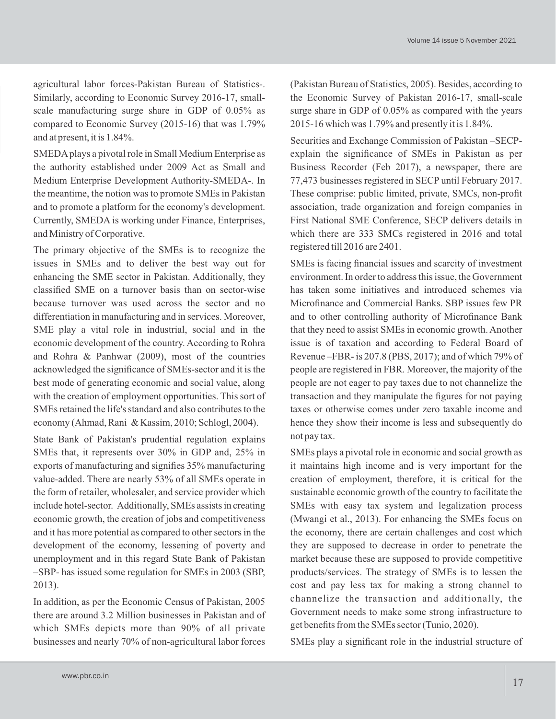agricultural labor forces-Pakistan Bureau of Statistics-. Similarly, according to Economic Survey 2016-17, smallscale manufacturing surge share in GDP of 0.05% as compared to Economic Survey (2015-16) that was 1.79% and at present, it is 1.84%.

SMEDAplays a pivotal role in Small Medium Enterprise as the authority established under 2009 Act as Small and Medium Enterprise Development Authority-SMEDA-. In the meantime, the notion was to promote SMEs in Pakistan and to promote a platform for the economy's development. Currently, SMEDA is working under Finance, Enterprises, and Ministry of Corporative.

The primary objective of the SMEs is to recognize the issues in SMEs and to deliver the best way out for enhancing the SME sector in Pakistan. Additionally, they classified SME on a turnover basis than on sector-wise because turnover was used across the sector and no differentiation in manufacturing and in services. Moreover, SME play a vital role in industrial, social and in the economic development of the country. According to Rohra and Rohra & Panhwar (2009), most of the countries acknowledged the significance of SMEs-sector and it is the best mode of generating economic and social value, along with the creation of employment opportunities. This sort of SMEs retained the life's standard and also contributes to the economy (Ahmad, Rani & Kassim, 2010; Schlogl, 2004).

State Bank of Pakistan's prudential regulation explains SMEs that, it represents over 30% in GDP and, 25% in exports of manufacturing and signifies 35% manufacturing value-added. There are nearly 53% of all SMEs operate in the form of retailer, wholesaler, and service provider which include hotel-sector. Additionally, SMEs assists in creating economic growth, the creation of jobs and competitiveness and it has more potential as compared to other sectors in the development of the economy, lessening of poverty and unemployment and in this regard State Bank of Pakistan –SBP- has issued some regulation for SMEs in 2003 (SBP, 2013).

In addition, as per the Economic Census of Pakistan, 2005 there are around 3.2 Million businesses in Pakistan and of which SMEs depicts more than 90% of all private businesses and nearly 70% of non-agricultural labor forces (Pakistan Bureau of Statistics, 2005). Besides, according to the Economic Survey of Pakistan 2016-17, small-scale surge share in GDP of 0.05% as compared with the years 2015-16 which was 1.79% and presently it is 1.84%.

Securities and Exchange Commission of Pakistan –SECPexplain the significance of SMEs in Pakistan as per Business Recorder (Feb 2017), a newspaper, there are 77,473 businesses registered in SECP until February 2017. These comprise: public limited, private, SMCs, non-profit association, trade organization and foreign companies in First National SME Conference, SECP delivers details in which there are 333 SMCs registered in 2016 and total registered till 2016 are 2401.

SMEs is facing financial issues and scarcity of investment environment. In order to address this issue, the Government has taken some initiatives and introduced schemes via Microfinance and Commercial Banks. SBP issues few PR and to other controlling authority of Microfinance Bank that they need to assist SMEs in economic growth. Another issue is of taxation and according to Federal Board of Revenue –FBR- is 207.8 (PBS, 2017); and of which 79% of people are registered in FBR. Moreover, the majority of the people are not eager to pay taxes due to not channelize the transaction and they manipulate the figures for not paying taxes or otherwise comes under zero taxable income and hence they show their income is less and subsequently do not pay tax.

SMEs plays a pivotal role in economic and social growth as it maintains high income and is very important for the creation of employment, therefore, it is critical for the sustainable economic growth of the country to facilitate the SMEs with easy tax system and legalization process (Mwangi et al., 2013). For enhancing the SMEs focus on the economy, there are certain challenges and cost which they are supposed to decrease in order to penetrate the market because these are supposed to provide competitive products/services. The strategy of SMEs is to lessen the cost and pay less tax for making a strong channel to channelize the transaction and additionally, the Government needs to make some strong infrastructure to get benefits from the SMEs sector (Tunio, 2020).

SMEs play a significant role in the industrial structure of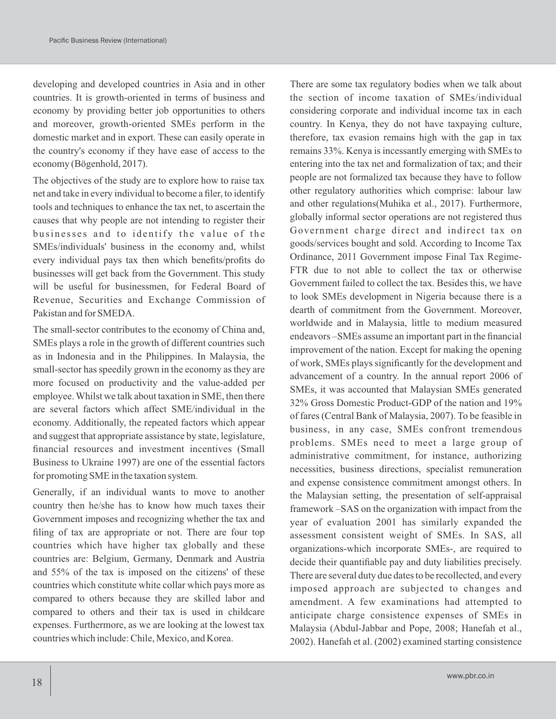developing and developed countries in Asia and in other countries. It is growth-oriented in terms of business and economy by providing better job opportunities to others and moreover, growth-oriented SMEs perform in the domestic market and in export. These can easily operate in the country's economy if they have ease of access to the economy (Bögenhold, 2017).

The objectives of the study are to explore how to raise tax net and take in every individual to become a filer, to identify tools and techniques to enhance the tax net, to ascertain the causes that why people are not intending to register their businesses and to identify the value of the SMEs/individuals' business in the economy and, whilst every individual pays tax then which benefits/profits do businesses will get back from the Government. This study will be useful for businessmen, for Federal Board of Revenue, Securities and Exchange Commission of Pakistan and for SMEDA.

The small-sector contributes to the economy of China and, SMEs plays a role in the growth of different countries such as in Indonesia and in the Philippines. In Malaysia, the small-sector has speedily grown in the economy as they are more focused on productivity and the value-added per employee. Whilst we talk about taxation in SME, then there are several factors which affect SME/individual in the economy. Additionally, the repeated factors which appear and suggest that appropriate assistance by state, legislature, financial resources and investment incentives (Small Business to Ukraine 1997) are one of the essential factors for promoting SME in the taxation system.

Generally, if an individual wants to move to another country then he/she has to know how much taxes their Government imposes and recognizing whether the tax and filing of tax are appropriate or not. There are four top countries which have higher tax globally and these countries are: Belgium, Germany, Denmark and Austria and 55% of the tax is imposed on the citizens' of these countries which constitute white collar which pays more as compared to others because they are skilled labor and compared to others and their tax is used in childcare expenses. Furthermore, as we are looking at the lowest tax countries which include: Chile, Mexico, and Korea.

considering corporate and individual income tax in each country. In Kenya, they do not have taxpaying culture, therefore, tax evasion remains high with the gap in tax remains 33%. Kenya is incessantly emerging with SMEs to entering into the tax net and formalization of tax; and their people are not formalized tax because they have to follow other regulatory authorities which comprise: labour law and other regulations(Muhika et al., 2017). Furthermore, globally informal sector operations are not registered thus Government charge direct and indirect tax on goods/services bought and sold. According to Income Tax Ordinance, 2011 Government impose Final Tax Regime-FTR due to not able to collect the tax or otherwise Government failed to collect the tax. Besides this, we have to look SMEs development in Nigeria because there is a dearth of commitment from the Government. Moreover, worldwide and in Malaysia, little to medium measured endeavors –SMEs assume an important part in the financial improvement of the nation. Except for making the opening of work, SMEs plays significantly for the development and advancement of a country. In the annual report 2006 of SMEs, it was accounted that Malaysian SMEs generated 32% Gross Domestic Product-GDP of the nation and 19% of fares (Central Bank of Malaysia, 2007). To be feasible in business, in any case, SMEs confront tremendous problems. SMEs need to meet a large group of administrative commitment, for instance, authorizing necessities, business directions, specialist remuneration and expense consistence commitment amongst others. In the Malaysian setting, the presentation of self-appraisal framework –SAS on the organization with impact from the year of evaluation 2001 has similarly expanded the assessment consistent weight of SMEs. In SAS, all organizations-which incorporate SMEs-, are required to decide their quantifiable pay and duty liabilities precisely. There are several duty due dates to be recollected, and every imposed approach are subjected to changes and amendment. A few examinations had attempted to anticipate charge consistence expenses of SMEs in Malaysia (Abdul-Jabbar and Pope, 2008; Hanefah et al., 2002). Hanefah et al. (2002) examined starting consistence

There are some tax regulatory bodies when we talk about the section of income taxation of SMEs/individual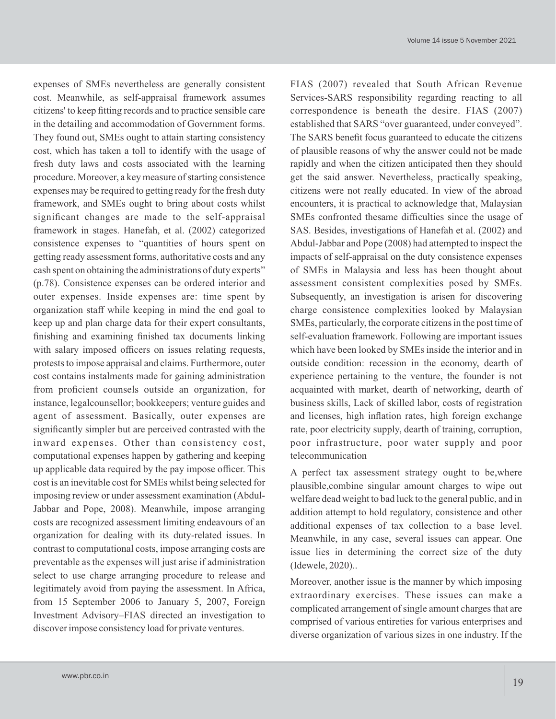expenses of SMEs nevertheless are generally consistent cost. Meanwhile, as self-appraisal framework assumes citizens' to keep fitting records and to practice sensible care in the detailing and accommodation of Government forms. They found out, SMEs ought to attain starting consistency cost, which has taken a toll to identify with the usage of fresh duty laws and costs associated with the learning procedure. Moreover, a key measure of starting consistence expenses may be required to getting ready for the fresh duty framework, and SMEs ought to bring about costs whilst significant changes are made to the self-appraisal framework in stages. Hanefah, et al. (2002) categorized consistence expenses to "quantities of hours spent on getting ready assessment forms, authoritative costs and any cash spent on obtaining the administrations of duty experts" (p.78). Consistence expenses can be ordered interior and outer expenses. Inside expenses are: time spent by organization staff while keeping in mind the end goal to keep up and plan charge data for their expert consultants, finishing and examining finished tax documents linking with salary imposed officers on issues relating requests, protests to impose appraisal and claims. Furthermore, outer cost contains instalments made for gaining administration from proficient counsels outside an organization, for instance, legalcounsellor; bookkeepers; venture guides and agent of assessment. Basically, outer expenses are significantly simpler but are perceived contrasted with the inward expenses. Other than consistency cost, computational expenses happen by gathering and keeping up applicable data required by the pay impose officer. This cost is an inevitable cost for SMEs whilst being selected for imposing review or under assessment examination (Abdul-Jabbar and Pope, 2008). Meanwhile, impose arranging costs are recognized assessment limiting endeavours of an organization for dealing with its duty-related issues. In contrast to computational costs, impose arranging costs are preventable as the expenses will just arise if administration select to use charge arranging procedure to release and legitimately avoid from paying the assessment. In Africa, from 15 September 2006 to January 5, 2007, Foreign Investment Advisory–FIAS directed an investigation to discover impose consistency load for private ventures.

FIAS (2007) revealed that South African Revenue Services-SARS responsibility regarding reacting to all correspondence is beneath the desire. FIAS (2007) established that SARS "over guaranteed, under conveyed". The SARS benefit focus guaranteed to educate the citizens of plausible reasons of why the answer could not be made rapidly and when the citizen anticipated then they should get the said answer. Nevertheless, practically speaking, citizens were not really educated. In view of the abroad encounters, it is practical to acknowledge that, Malaysian SMEs confronted thesame difficulties since the usage of SAS. Besides, investigations of Hanefah et al. (2002) and Abdul-Jabbar and Pope (2008) had attempted to inspect the impacts of self-appraisal on the duty consistence expenses of SMEs in Malaysia and less has been thought about assessment consistent complexities posed by SMEs. Subsequently, an investigation is arisen for discovering charge consistence complexities looked by Malaysian SMEs, particularly, the corporate citizens in the post time of self-evaluation framework. Following are important issues which have been looked by SMEs inside the interior and in outside condition: recession in the economy, dearth of experience pertaining to the venture, the founder is not acquainted with market, dearth of networking, dearth of business skills, Lack of skilled labor, costs of registration and licenses, high inflation rates, high foreign exchange rate, poor electricity supply, dearth of training, corruption, poor infrastructure, poor water supply and poor telecommunication

A perfect tax assessment strategy ought to be,where plausible,combine singular amount charges to wipe out welfare dead weight to bad luck to the general public, and in addition attempt to hold regulatory, consistence and other additional expenses of tax collection to a base level. Meanwhile, in any case, several issues can appear. One issue lies in determining the correct size of the duty (Idewele, 2020)..

Moreover, another issue is the manner by which imposing extraordinary exercises. These issues can make a complicated arrangement of single amount charges that are comprised of various entireties for various enterprises and diverse organization of various sizes in one industry. If the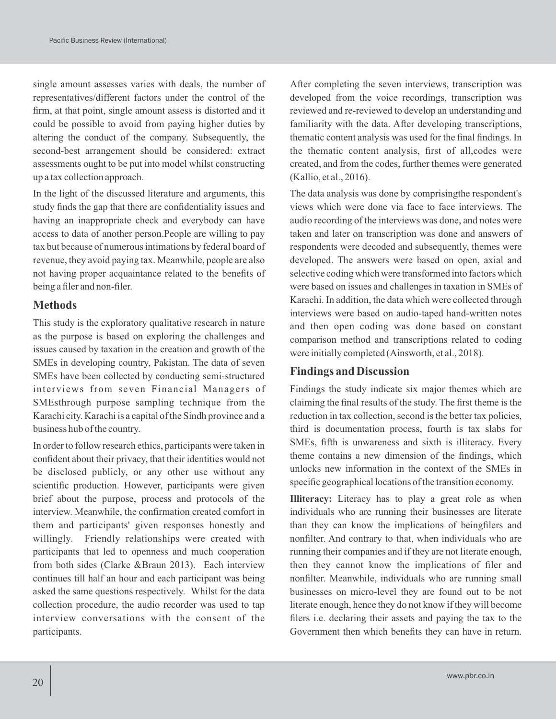single amount assesses varies with deals, the number of representatives/different factors under the control of the firm, at that point, single amount assess is distorted and it could be possible to avoid from paying higher duties by altering the conduct of the company. Subsequently, the second-best arrangement should be considered: extract assessments ought to be put into model whilst constructing up a tax collection approach.

In the light of the discussed literature and arguments, this study finds the gap that there are confidentiality issues and having an inappropriate check and everybody can have access to data of another person.People are willing to pay tax but because of numerous intimations by federal board of revenue, they avoid paying tax. Meanwhile, people are also not having proper acquaintance related to the benefits of being a filer and non-filer.

## **Methods**

This study is the exploratory qualitative research in nature as the purpose is based on exploring the challenges and issues caused by taxation in the creation and growth of the SMEs in developing country, Pakistan. The data of seven SMEs have been collected by conducting semi-structured interviews from seven Financial Managers of SMEsthrough purpose sampling technique from the Karachi city. Karachi is a capital of the Sindh province and a business hub of the country.

In order to follow research ethics, participants were taken in confident about their privacy, that their identities would not be disclosed publicly, or any other use without any scientific production. However, participants were given brief about the purpose, process and protocols of the interview. Meanwhile, the confirmation created comfort in them and participants' given responses honestly and willingly. Friendly relationships were created with participants that led to openness and much cooperation from both sides (Clarke &Braun 2013). Each interview continues till half an hour and each participant was being asked the same questions respectively. Whilst for the data collection procedure, the audio recorder was used to tap interview conversations with the consent of the participants.

After completing the seven interviews, transcription was developed from the voice recordings, transcription was reviewed and re-reviewed to develop an understanding and familiarity with the data. After developing transcriptions, thematic content analysis was used for the final findings. In the thematic content analysis, first of all,codes were created, and from the codes, further themes were generated (Kallio, et al., 2016).

The data analysis was done by comprisingthe respondent's views which were done via face to face interviews. The audio recording of the interviews was done, and notes were taken and later on transcription was done and answers of respondents were decoded and subsequently, themes were developed. The answers were based on open, axial and selective coding which were transformed into factors which were based on issues and challenges in taxation in SMEs of Karachi. In addition, the data which were collected through interviews were based on audio-taped hand-written notes and then open coding was done based on constant comparison method and transcriptions related to coding were initially completed (Ainsworth, et al., 2018).

# **Findings and Discussion**

Findings the study indicate six major themes which are claiming the final results of the study. The first theme is the reduction in tax collection, second is the better tax policies, third is documentation process, fourth is tax slabs for SMEs, fifth is unwareness and sixth is illiteracy. Every theme contains a new dimension of the findings, which unlocks new information in the context of the SMEs in specific geographical locations of the transition economy.

**Illiteracy:** Literacy has to play a great role as when individuals who are running their businesses are literate than they can know the implications of beingfilers and nonfilter. And contrary to that, when individuals who are running their companies and if they are not literate enough, then they cannot know the implications of filer and nonfilter. Meanwhile, individuals who are running small businesses on micro-level they are found out to be not literate enough, hence they do not know if they will become filers i.e. declaring their assets and paying the tax to the Government then which benefits they can have in return.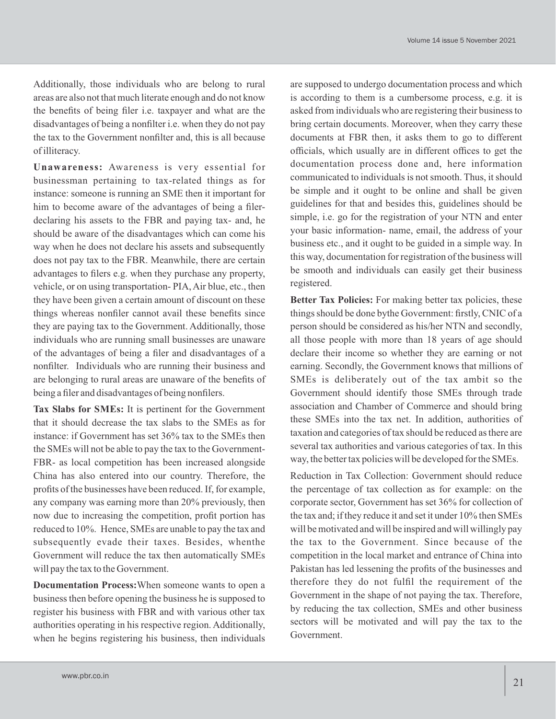Additionally, those individuals who are belong to rural areas are also not that much literate enough and do not know the benefits of being filer i.e. taxpayer and what are the disadvantages of being a nonfilter i.e. when they do not pay the tax to the Government nonfilter and, this is all because of illiteracy.

**Unawareness:** Awareness is very essential for businessman pertaining to tax-related things as for instance: someone is running an SME then it important for him to become aware of the advantages of being a filerdeclaring his assets to the FBR and paying tax- and, he should be aware of the disadvantages which can come his way when he does not declare his assets and subsequently does not pay tax to the FBR. Meanwhile, there are certain advantages to filers e.g. when they purchase any property, vehicle, or on using transportation- PIA, Air blue, etc., then they have been given a certain amount of discount on these things whereas nonfiler cannot avail these benefits since they are paying tax to the Government. Additionally, those individuals who are running small businesses are unaware of the advantages of being a filer and disadvantages of a nonfilter. Individuals who are running their business and are belonging to rural areas are unaware of the benefits of being a filer and disadvantages of being nonfilers.

**Tax Slabs for SMEs:** It is pertinent for the Government that it should decrease the tax slabs to the SMEs as for instance: if Government has set 36% tax to the SMEs then the SMEs will not be able to pay the tax to the Government-FBR- as local competition has been increased alongside China has also entered into our country. Therefore, the profits of the businesses have been reduced. If, for example, any company was earning more than 20% previously, then now due to increasing the competition, profit portion has reduced to 10%. Hence, SMEs are unable to pay the tax and subsequently evade their taxes. Besides, whenthe Government will reduce the tax then automatically SMEs will pay the tax to the Government.

**Documentation Process:**When someone wants to open a business then before opening the business he is supposed to register his business with FBR and with various other tax authorities operating in his respective region. Additionally, when he begins registering his business, then individuals are supposed to undergo documentation process and which is according to them is a cumbersome process, e.g. it is asked from individuals who are registering their business to bring certain documents. Moreover, when they carry these documents at FBR then, it asks them to go to different officials, which usually are in different offices to get the documentation process done and, here information communicated to individuals is not smooth. Thus, it should be simple and it ought to be online and shall be given guidelines for that and besides this, guidelines should be simple, i.e. go for the registration of your NTN and enter your basic information- name, email, the address of your business etc., and it ought to be guided in a simple way. In this way, documentation for registration of the business will be smooth and individuals can easily get their business registered.

**Better Tax Policies:** For making better tax policies, these things should be done bythe Government: firstly, CNIC of a person should be considered as his/her NTN and secondly, all those people with more than 18 years of age should declare their income so whether they are earning or not earning. Secondly, the Government knows that millions of SMEs is deliberately out of the tax ambit so the Government should identify those SMEs through trade association and Chamber of Commerce and should bring these SMEs into the tax net. In addition, authorities of taxation and categories of tax should be reduced as there are several tax authorities and various categories of tax. In this way, the better tax policies will be developed for the SMEs.

Reduction in Tax Collection: Government should reduce the percentage of tax collection as for example: on the corporate sector, Government has set 36% for collection of the tax and; if they reduce it and set it under 10% then SMEs will be motivated and will be inspired and will willingly pay the tax to the Government. Since because of the competition in the local market and entrance of China into Pakistan has led lessening the profits of the businesses and therefore they do not fulfil the requirement of the Government in the shape of not paying the tax. Therefore, by reducing the tax collection, SMEs and other business sectors will be motivated and will pay the tax to the Government.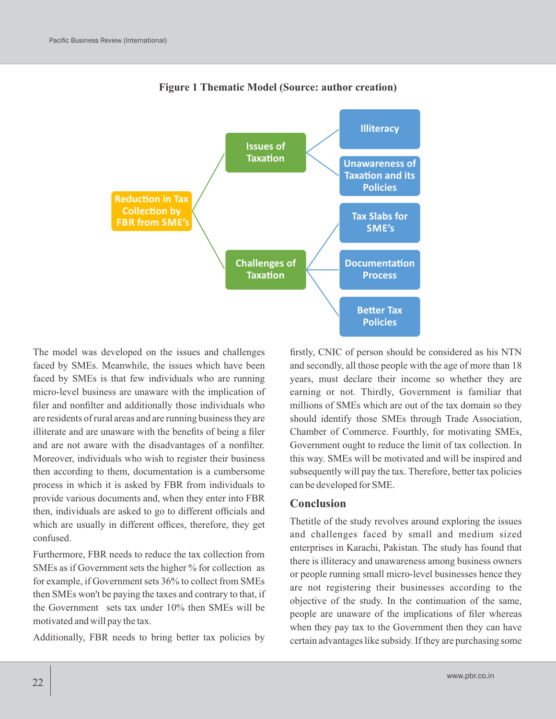

**Figure 1 Thematic Model (Source: author creation)** 

The model was developed on the issues and challenges faced by SMEs. Meanwhile, the issues which have been faced by SMEs is that few individuals who are running micro-level business are unaware with the implication of filer and nonfilter and additionally those individuals who are residents of rural areas and are running business they are illiterate and are unaware with the benefits of being a filer and are not aware with the disadvantages of a nonfilter. Moreover, individuals who wish to register their business then according to them, documentation is a cumbersome process in which it is asked by FBR from individuals to provide various documents and, when they enter into FBR then, individuals are asked to go to different officials and which are usually in different offices, therefore, they get confused.

Furthermore, FBR needs to reduce the tax collection from SMEs as if Government sets the higher % for collection as for example, if Government sets 36% to collect from SMEs then SMEs won't be paying the taxes and contrary to that, if the Government sets tax under 10% then SMEs will be motivated and will pay the tax.

Additionally, FBR needs to bring better tax policies by

firstly, CNIC of person should be considered as his NTN and secondly, all those people with the age of more than 18 years, must declare their income so whether they are earning or not. Thirdly, Government is familiar that millions of SMEs which are out of the tax domain so they should identify those SMEs through Trade Association, Chamber of Commerce. Fourthly, for motivating SMEs, Government ought to reduce the limit of tax collection. In this way. SMEs will be motivated and will be inspired and subsequently will pay the tax. Therefore, better tax policies can be developed for SME.

### **Conclusion**

Thetitle of the study revolves around exploring the issues and challenges faced by small and medium sized enterprises in Karachi, Pakistan. The study has found that there is illiteracy and unawareness among business owners or people running small micro-level businesses hence they are not registering their businesses according to the objective of the study. In the continuation of the same, people are unaware of the implications of filer whereas when they pay tax to the Government then they can have certain advantages like subsidy. If they are purchasing some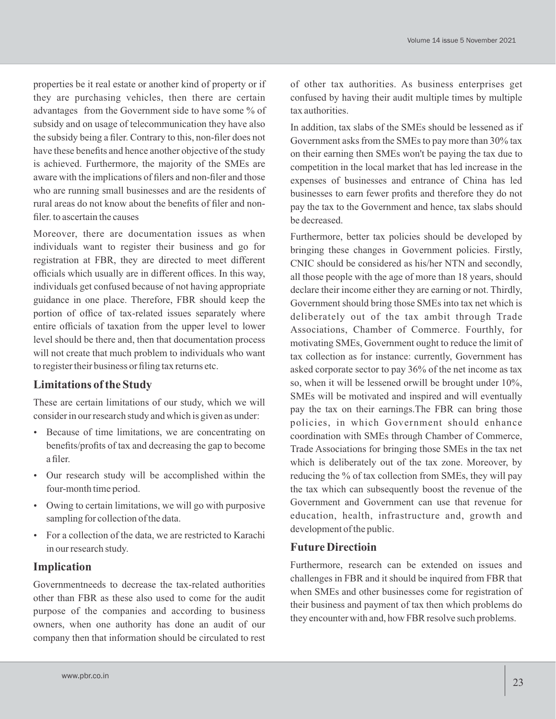properties be it real estate or another kind of property or if they are purchasing vehicles, then there are certain advantages from the Government side to have some % of subsidy and on usage of telecommunication they have also the subsidy being a filer. Contrary to this, non-filer does not have these benefits and hence another objective of the study is achieved. Furthermore, the majority of the SMEs are aware with the implications of filers and non-filer and those who are running small businesses and are the residents of rural areas do not know about the benefits of filer and nonfiler. to ascertain the causes

Moreover, there are documentation issues as when individuals want to register their business and go for registration at FBR, they are directed to meet different officials which usually are in different offices. In this way, individuals get confused because of not having appropriate guidance in one place. Therefore, FBR should keep the portion of office of tax-related issues separately where entire officials of taxation from the upper level to lower level should be there and, then that documentation process will not create that much problem to individuals who want to register their business or filing tax returns etc.

### **Limitations of the Study**

These are certain limitations of our study, which we will consider in our research study and which is given as under:

- Because of time limitations, we are concentrating on benefits/profits of tax and decreasing the gap to become a filer.
- Our research study will be accomplished within the four-month time period.
- Owing to certain limitations, we will go with purposive sampling for collection of the data.
- For a collection of the data, we are restricted to Karachi in our research study.

#### **Implication**

Governmentneeds to decrease the tax-related authorities other than FBR as these also used to come for the audit purpose of the companies and according to business owners, when one authority has done an audit of our company then that information should be circulated to rest of other tax authorities. As business enterprises get confused by having their audit multiple times by multiple tax authorities.

In addition, tax slabs of the SMEs should be lessened as if Government asks from the SMEs to pay more than 30% tax on their earning then SMEs won't be paying the tax due to competition in the local market that has led increase in the expenses of businesses and entrance of China has led businesses to earn fewer profits and therefore they do not pay the tax to the Government and hence, tax slabs should be decreased.

Furthermore, better tax policies should be developed by bringing these changes in Government policies. Firstly, CNIC should be considered as his/her NTN and secondly, all those people with the age of more than 18 years, should declare their income either they are earning or not. Thirdly, Government should bring those SMEs into tax net which is deliberately out of the tax ambit through Trade Associations, Chamber of Commerce. Fourthly, for motivating SMEs, Government ought to reduce the limit of tax collection as for instance: currently, Government has asked corporate sector to pay 36% of the net income as tax so, when it will be lessened orwill be brought under 10%, SMEs will be motivated and inspired and will eventually pay the tax on their earnings.The FBR can bring those policies, in which Government should enhance coordination with SMEs through Chamber of Commerce, Trade Associations for bringing those SMEs in the tax net which is deliberately out of the tax zone. Moreover, by reducing the % of tax collection from SMEs, they will pay the tax which can subsequently boost the revenue of the Government and Government can use that revenue for education, health, infrastructure and, growth and development of the public.

### **Future Directioin**

Furthermore, research can be extended on issues and challenges in FBR and it should be inquired from FBR that when SMEs and other businesses come for registration of their business and payment of tax then which problems do they encounter with and, how FBR resolve such problems.